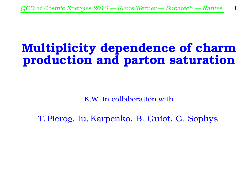# Multiplicity dependence of charm production and parton saturation

K.W. in collaboration with

T. Pierog, Iu. Karpenko, B. Guiot, G. Sophys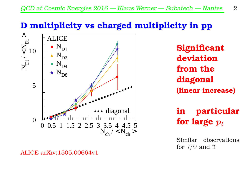#### D multiplicity vs charged multiplicity in pp



ALICE arXiv:1505.00664v1

**Significant** deviation from the diagonal (linear increase)

in particular for large  $p_t$ 

Similar observations for  $J/\Psi$  and  $\Upsilon$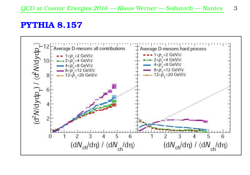#### PYTHIA 8.157

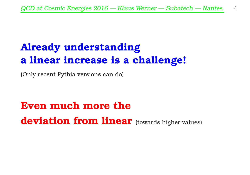# Already understanding a linear increase is a challenge!

(Only recent Pythia versions can do)

Even much more the deviation from linear (towards higher values)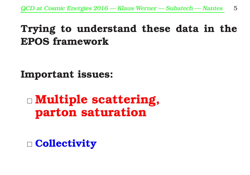# Trying to understand these data in the EPOS framework

Important issues:

 Multiple scattering, parton saturation

□ Collectivity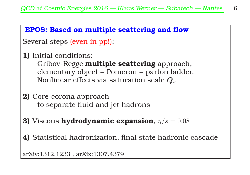#### EPOS: Based on multiple scattering and flow

Several steps (even in pp!):

1) Initial conditions:

Gribov-Regge multiple scattering approach, elementary object = Pomeron = parton ladder, Nonlinear effects via saturation scale  $Q_s$ 

- 2) Core-corona approach to separate fluid and jet hadrons
- 3) Viscous hydrodynamic expansion,  $\eta/s = 0.08$
- 4) Statistical hadronization, final state hadronic cascade

arXiv:1312.1233 , arXix:1307.4379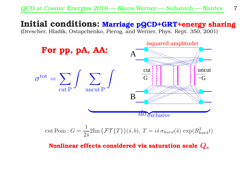#### Initial conditions: Marriage pQCD+GRT+energy sharing

(Drescher, Hladik, Ostapchenko, Pierog, and Werner, Phys. Rept. 350, 2001)



cut Pom: 
$$
G = \frac{1}{2\hat{s}} 2\text{Im}\left\{\mathcal{FT}\{T\}\right\}(\hat{s}, b), T = i\hat{s} \sigma_{hard}(\hat{s}) \exp(R_{hard}^2 t)
$$

Nonlinear effects considered via saturation scale  $Q_s$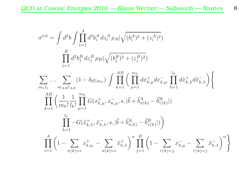$$
\sigma^{\text{tot}} = \int d^2b \int \prod_{i=1}^A d^2b_i^A dz_i^A \rho_A(\sqrt{(b_i^A)^2 + (z_i^A)^2})
$$
  
\n
$$
\prod_{j=1}^B d^2b_j^B dz_j^B \rho_B(\sqrt{(b_j^B)^2 + (z_j^B)^2})
$$
  
\n
$$
\sum_{m_1l_1} \cdots \sum_{m_Al_Bl_{AB}} (1 - \delta_{0\sum m_k}) \int \prod_{k=1}^{AB} \left( \prod_{\mu=1}^{m_k} dx_{k,\mu}^+ dx_{k,\mu}^- \prod_{\lambda=1}^{l_k} d\tilde{x}_{k,\lambda}^+ d\tilde{x}_{k,\lambda}^- \right) \left\{ \prod_{k=1}^{AB} \left( \frac{1}{m_k!} \prod_{l=1}^{m_k} G(x_{k,\mu}^+, x_{k,\mu}^-, s, |\vec{b} + \vec{b}_{\pi(k)}^A - \vec{b}_{\pi(k)}^B|) \right) \right\}
$$
  
\n
$$
\prod_{\lambda=1}^{l_k} -G(\tilde{x}_{k,\lambda}^+, \tilde{x}_{k,\lambda}^-, s, |\vec{b} + \vec{b}_{\pi(k)}^A - \vec{b}_{\pi(k)}^B|) \right)
$$
  
\n
$$
\prod_{i=1}^A \left( 1 - \sum_{\pi(k)=i} x_{k,\mu}^+ - \sum_{\pi(k)=i} \tilde{x}_{k,\lambda}^+ \right)^{\alpha} \prod_{j=1}^B \left( 1 - \sum_{\pi(k)=j} x_{k,\mu}^- - \sum_{\pi(k)=j} \tilde{x}_{k,\lambda}^- \right)^{\alpha} \right\}
$$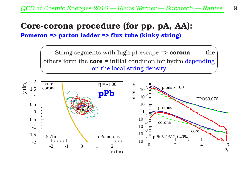#### Core-corona procedure (for pp, pA, AA):

Pomeron => parton ladder => flux tube (kinky string)

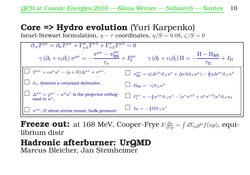#### Core => Hydro evolution (Yuri Karpenko)

Israel-Stewart formulation,  $\eta - \tau$  coordinates,  $\eta/S = 0.08$ ,  $\zeta/S = 0$ 



**Freeze out:** at 168 MeV, Cooper-Frye  $E \frac{dn}{d^3 p} = \int d\Sigma_\mu p^\mu f(u p)$ , equilibrium distr

Hadronic afterburner: UrQMD Marcus Bleicher, Jan Steinheimer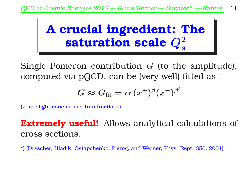

Single Pomeron contribution  $G$  (to the amplitude), computed via pQCD, can be (very well) fitted  $\text{as}^{*}$ 

$$
G\thickapprox G_\text{fit}=\alpha\,(x^+)^{\beta}(x^-)^{\beta'}
$$

 $(x^{\pm}$ are light cone momentum fractions)

**Extremely useful!** Allows analytical calculations of cross sections.

\*) (Drescher, Hladik, Ostapchenko, Pierog, and Werner, Phys. Rept. 350, 2001)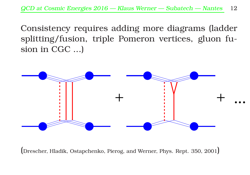Consistency requires adding more diagrams (ladder splitting/fusion, triple Pomeron vertices, gluon fusion in CGC ...)



(Drescher, Hladik, Ostapchenko, Pierog, and Werner, Phys. Rept. 350, 2001)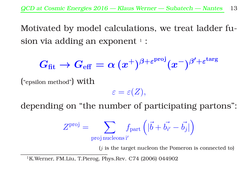Motivated by model calculations, we treat ladder fusion via adding an exponent  $\frac{1}{1}$  :

$$
G_\text{fit} \to G_\text{eff} = \alpha \, (x^+)^{\beta + \varepsilon^\text{proj}} (x^-)^{\beta' + \varepsilon^\text{targ}}
$$

("epsilon method") with

 $\varepsilon = \varepsilon(Z),$ 

depending on "the number of participating partons":

$$
Z^{\text{proj}} = \sum_{\text{proj nucleons }i'} f_{\text{part}} \left( |\vec{b} + \vec{b_{i'}} - \vec{b_j}| \right)
$$

 $(i)$  is the target nucleon the Pomeron is connected to

<sup>&</sup>lt;sup>1</sup>K.Werner, FM.Liu, T.Pierog, Phys.Rev. C74 (2006) 044902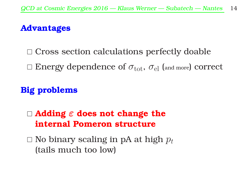#### Advantages

 $\Box$  Cross section calculations perfectly doable  $\Box$  Energy dependence of  $\sigma_{\text{tot}}$ ,  $\sigma_{\text{el}}$  (and more) correct

#### Big problems

 $\Box$  Adding  $\varepsilon$  does not change the internal Pomeron structure

 $\Box$  No binary scaling in pA at high  $p_t$ (tails much too low)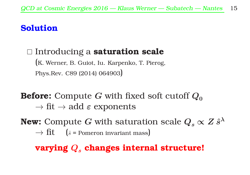#### Solution

## □ Introducing a saturation scale (K. Werner, B. Guiot, Iu. Karpenko, T. Pierog, Phys.Rev. C89 (2014) 064903)

**Before:** Compute G with fixed soft cutoff  $Q_0$  $\rightarrow$  fit  $\rightarrow$  add  $\varepsilon$  exponents

**New:** Compute  $G$  with saturation scale  $Q_s \propto Z\, \hat{s}^\lambda$  $\rightarrow$  fit ( $\hat{s}$  = Pomeron invariant mass)

### varying  $Q_{s}$  changes internal structure!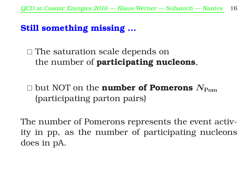#### Still something missing ...

 $\Box$  The saturation scale depends on the number of **participating nucleons**,

 $\Box$  but NOT on the **number of Pomerons**  $N_{\text{Pom}}$ (participating parton pairs)

The number of Pomerons represents the event activity in pp, as the number of participating nucleons does in pA.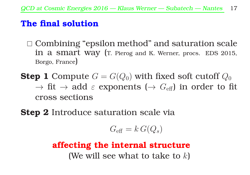#### The final solution

- $\Box$  Combining "epsilon method" and saturation scale in a smart way (T. Pierog and K. Werner, procs. EDS 2015, Borgo, France)
- **Step 1** Compute  $G = G(Q_0)$  with fixed soft cutoff  $Q_0$  $\rightarrow$  fit  $\rightarrow$  add  $\varepsilon$  exponents ( $\rightarrow$   $G_{\text{eff}}$ ) in order to fit cross sections
- **Step 2** Introduce saturation scale via

$$
G_{\rm eff} = k\,G(Q_s)
$$

## affecting the internal structure (We will see what to take to  $k$ )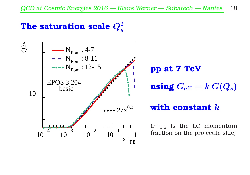# The saturation scale  $Q_s^2$



pp at 7 TeV using  $G_{\text{eff}} = k G(Q_s)$ 

#### with constant  $k$

 $(x +_{\text{PE}})$  is the LC momentum fraction on the projectile side)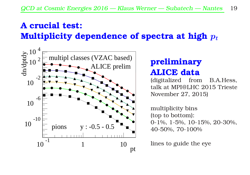# A crucial test: Multiplicity dependence of spectra at high  $p_t$



### preliminary ALICE data

(digitalized from B.A.Hess, talk at MPI@LHC 2015 Trieste November 27, 2015)

multiplicity bins (top to bottom): 0-1%, 1-5%, 10-15%, 20-30%, 40-50%, 70-100%

lines to guide the eye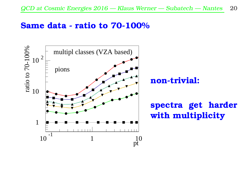#### Same data - ratio to 70-100%

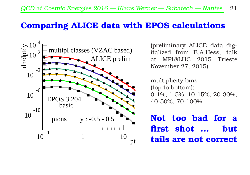#### Comparing ALICE data with EPOS calculations



(preliminary ALICE data digitalized from B.A.Hess, talk at MPI@LHC 2015 Trieste November 27, 2015)

multiplicity bins (top to bottom): 0-1%, 1-5%, 10-15%, 20-30%, 40-50%, 70-100%

Not too bad for a first shot ... but tails are not correct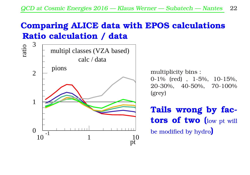## Comparing ALICE data with EPOS calculations Ratio calculation / data



multiplicity bins : 0-1% (red) , 1-5%, 10-15%, 20-30%, 40-50%, 70-100% (grey)

Tails wrong by factors of two (low pt will be modified by hydro)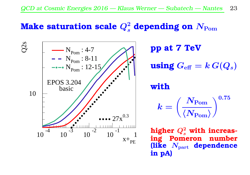# Make saturation scale  $Q_s^2$  depending on  $N_{\mathrm{Pom}}$



pp at 7 TeV using  $G_{\text{eff}} = k G(Q_s)$ 

with

$$
k = \left(\frac{N_{\rm Pom}}{\langle N_{\rm Pom} \rangle}\right)^{0.75}
$$

higher  $Q_s^2$  with increasing Pomeron number (like  $N_{\text{part}}$  dependence in pA)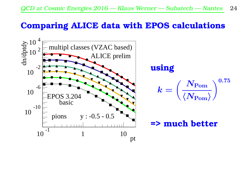#### Comparing ALICE data with EPOS calculations

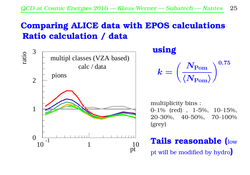## Comparing ALICE data with EPOS calculations Ratio calculation / data



using

$$
k = \left(\frac{N_{\rm Pom}}{\langle N_{\rm Pom} \rangle}\right)^{0.75}
$$

multiplicity bins : 0-1% (red) , 1-5%, 10-15%, 20-30%, 40-50%, 70-100% (grey)

# Tails reasonable (low pt will be modified by hydro)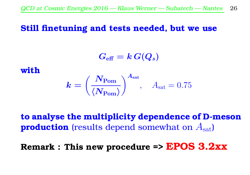#### Still finetuning and tests needed, but we use

 $G_{\text{eff}} = k G(Q_s)$ 

with

$$
\boldsymbol{k} = \left(\frac{\boldsymbol{N}_{\text{Pom}}}{\langle \boldsymbol{N}_{\text{Pom}} \rangle}\right)^{A_{\text{sat}}}, \quad A_{\text{sat}} = 0.75
$$

to analyse the multiplicity dependence of D-meson **production** (results depend somewhat on  $A_{\text{sat}}$ )

Remark : This new procedure => EPOS 3.2xx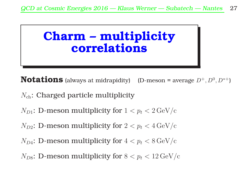# Charm – multiplicity correlations

**Notations** (always at midrapidity) (D-meson = average  $D^+, D^0, D^{*+}$ )

- $N_{ch}$ : Charged particle multiplicity
- $N_{D1}$ : D-meson multiplicity for  $1 < p_t < 2 \,\mathrm{GeV/c}$
- $N_{D2}$ : D-meson multiplicity for  $2 < p_t < 4 \,\mathrm{GeV/c}$
- $N_{DA}$ : D-meson multiplicity for  $4 < p_t < 8 \,\mathrm{GeV/c}$
- $N_{D8}$ : D-meson multiplicity for  $8 < p_t < 12 \,\mathrm{GeV/c}$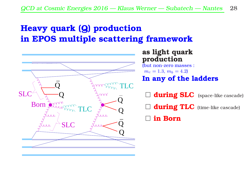## Heavy quark (Q) production in EPOS multiple scattering framework



#### as light quark production

(but non-zero masses :  $m_c = 1.3, m_b = 4.2$ In any of the ladders

 $\Box$  during SLC (space-like cascade)

 $\Box$  during TLC (time-like cascade)

in Born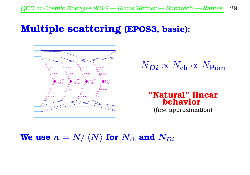# Multiple scattering (EPOS3, basic):



$$
N_{\rm\scriptstyle D}i \propto N_{\rm ch} \propto N_{\rm Pom}
$$

"Natural" linear behavior (first approximation)

We use  $n = N / \langle N \rangle$  for  $N_{ch}$  and  $N_{Di}$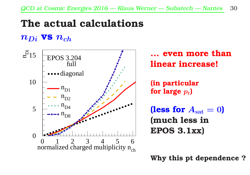# The actual calculations

#### $n_{Di}$  vs  $n_{ch}$



even more than linear increase!

(in particular for large  $p_t$ )

(less for  $A_{\text{sat}} = 0$ ) (much less in EPOS 3.1xx)

Why this pt dependence ?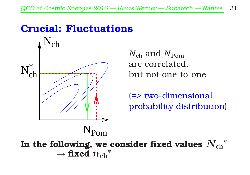# Crucial: Fluctuations



*N*ch and *N*Pom are correlated, but not one-to-one

(=> two-dimensional probability distribution)

In the following, we consider fixed values  $\left. N_{\ch} \right.^*$  $\rightarrow$  fixed  ${n_{\rm ch}}^*$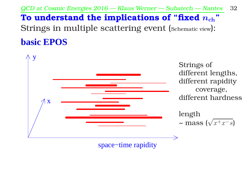QCD at Cosmic Energies <sup>2016</sup> — Klaus Werner — Subatech — Nantes 32

# To understand the implications of "fixed  $n_{ch}$ " Strings in multiple scattering event (Schematic view): **basic EPOS**

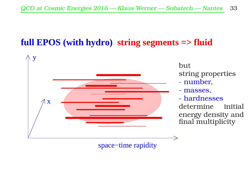### **full EPOS (with hydro) string segments => fluid**



space−time rapidity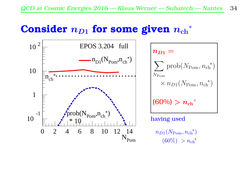# Consider  $n_{D1}$  for some given  ${n_{\rm ch}}^\ast$

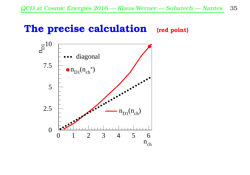# The precise calculation (red point)

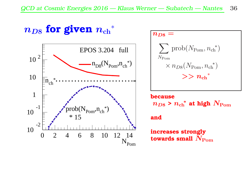# $n_{D8}$  for given  ${n_{\rm ch}}^\ast$



$$
n_{D8} = \sum_{N_{\text{Pom}}} \text{prob}(N_{\text{Pom}}, n_{\text{ch}}^{*})
$$
  
\$\times n\_{D8}(N\_{\text{Pom}}, n\_{\text{ch}}^{\*}\$  
\$\gtgt\$  $n_{\text{ch}}^{*}$$ 

#### because  $n_{D8}$  >  ${n_{\rm ch}}^*$  at high  $N_{\rm Pom}$

#### and

increases strongly towards small  $N_{\text{Pom}}$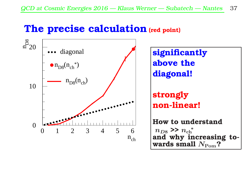# The precise calculation (red point)

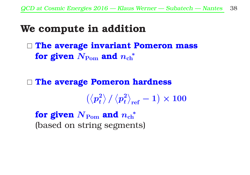# We compute in addition

 $\Box$  The average invariant Pomeron mass for given  $N_{\text{Pom}}$  and  $n_{\text{ch}}^*$ 

□ The average Pomeron hardness

$$
\left(\left\langle p_{t}^{2}\right\rangle /\left\langle p_{t}^{2}\right\rangle _{\mathrm{ref}}-1\right)\times100
$$

for given  $N_{\mathrm{Pom}}$  and  $n_{\mathrm{ch}}^*$ (based on string segments)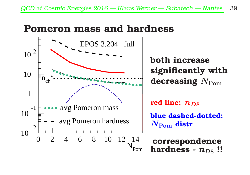# Pomeron mass and hardness



both increase significantly with decreasing  $N_{\text{Pom}}$ 

red line:  $n_{\text{D8}}$ 

blue dashed-dotted:  $N_{\text{Pom}}$  distr

correspondence hardness -  $n_{DS}$ !!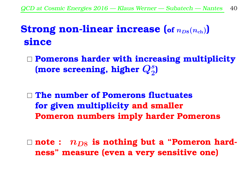# **Strong non-linear increase (of**  $n_{D8}(n_{ch})$ **)** since

- $\Box$  Pomerons harder with increasing multiplicity (more screening, higher  $Q_2^s$ )
- $\Box$  The number of Pomerons fluctuates for given multiplicity and smaller Pomeron numbers imply harder Pomerons
- $\Box$  note :  $n_{D8}$  is nothing but a "Pomeron hardness" measure (even a very sensitive one)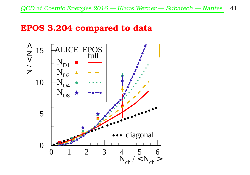#### EPOS 3.204 compared to data

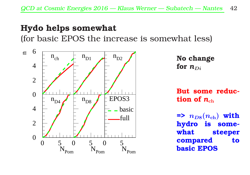#### Hydo helps somewhat

(for basic EPOS the increase is somewhat less)



```
No change
for n_{Di}
```
But some reduction of  $n_{ch}$ 

 $\Rightarrow$   $n_{DS}(n_{ch})$  with hydro is somewhat steeper compared to basic EPOS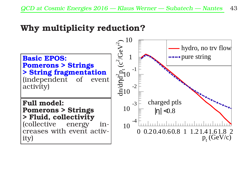#### Why multiplicity reduction?

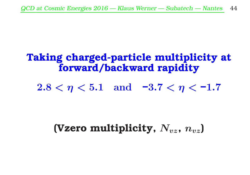# Taking charged-particle multiplicity at forward/backward rapidity

 $2.8 < \eta < 5.1$  and  $-3.7 < \eta < -1.7$ 

# (Vzero multiplicity,  $N_{yz}$ ,  $n_{yz}$ )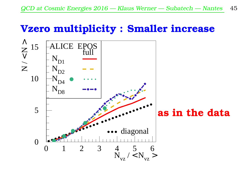# Vzero multiplicity : Smaller increase

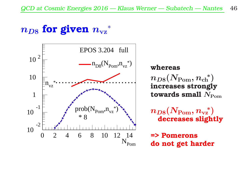# $n_{D8}$  for given  ${n_{\rm vz}}^*$



whereas  $n_{D8}(N_{\mathrm{Pom}}, {n_{\mathrm{ch}}}^*)$ increases strongly towards small  $N_{\text{Pom}}$ 

 $n_{D8}(N_{\mathrm{Pom}}, n_{\mathrm{vz}}{}^*)$ decreases slightly

=> Pomerons do not get harder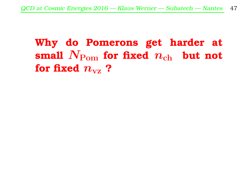# Why do Pomerons get harder at small  $N_{\text{Pom}}$  for fixed  $n_{\text{ch}}$  but not for fixed  $n_{\rm{vz}}$  ?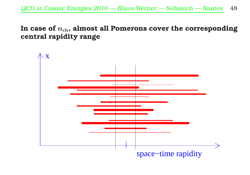In case of  $n_{ch}$ , almost all Pomerons cover the corresponding central rapidity range

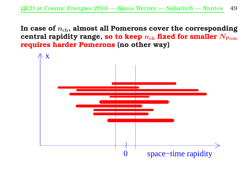In case of  $n_{ch}$ , almost all Pomerons cover the corresponding central rapidity range, so to keep  $n_{ch}$  fixed for smaller  $N_{\text{Pom}}$ requires harder Pomerons (no other way)

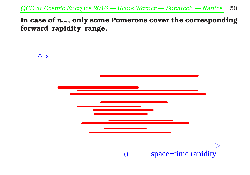QCD at Cosmic Energies <sup>2016</sup> — Klaus Werner — Subatech — Nantes 50

In case of  $n_{\rm vx}$ , only some Pomerons cover the corresponding forward rapidity range,

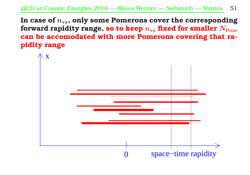In case of  $n_{\rm{v}}$ , only some Pomerons cover the corresponding forward rapidity range, so to keep  $n_{\rm vz}$  fixed for smaller  $N_{\rm Pom}$ can be accomodated with more Pomerons covering that rapidity range